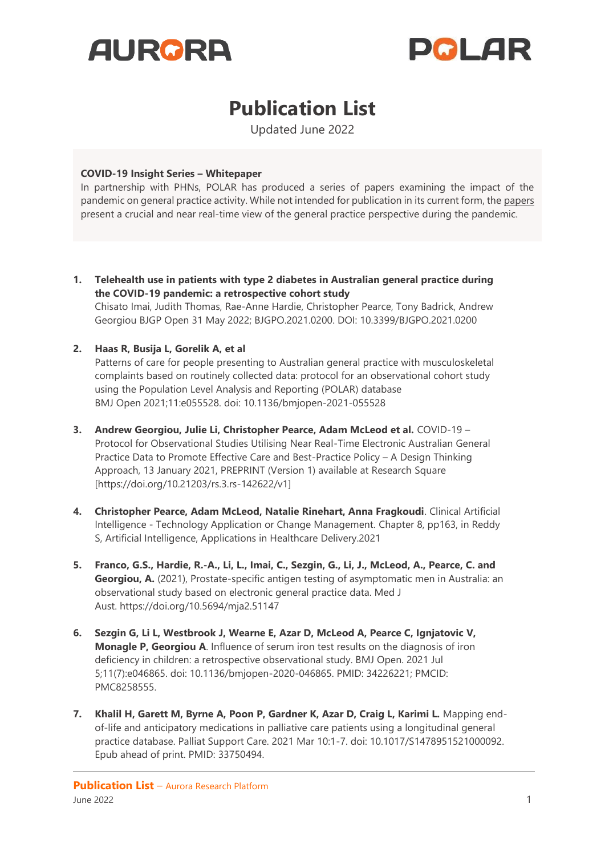



## **Publication List**

Updated June 2022

## **COVID-19 Insight Series – Whitepaper**

In partnership with PHNs, POLAR has produced a series of papers examining the impact of the pandemic on general practice activity. While not intended for publication in its current form, the [papers](https://polargp.org.au/primary-health-networks/covid-19-data-insight-papers/) present a crucial and near real-time view of the general practice perspective during the pandemic.

**1. Telehealth use in patients with type 2 diabetes in Australian general practice during the COVID-19 pandemic: a retrospective cohort study** Chisato Imai, Judith Thomas, Rae-Anne Hardie, Christopher Pearce, Tony Badrick, Andrew

Georgiou BJGP Open 31 May 2022; BJGPO.2021.0200. DOI: 10.3399/BJGPO.2021.0200

## **2. Haas R, Busija L, Gorelik A, et al**

Patterns of care for people presenting to Australian general practice with musculoskeletal complaints based on routinely collected data: protocol for an observational cohort study using the Population Level Analysis and Reporting (POLAR) database BMJ Open 2021;11:e055528. doi: 10.1136/bmjopen-2021-055528

- **3. Andrew Georgiou, Julie Li, Christopher Pearce, Adam McLeod et al.** COVID-19 Protocol for Observational Studies Utilising Near Real-Time Electronic Australian General Practice Data to Promote Effective Care and Best-Practice Policy – A Design Thinking Approach, 13 January 2021, PREPRINT (Version 1) available at Research Square [https://doi.org/10.21203/rs.3.rs-142622/v1]
- **4. Christopher Pearce, Adam McLeod, Natalie Rinehart, Anna Fragkoudi**. Clinical Artificial Intelligence - Technology Application or Change Management. Chapter 8, pp163, in Reddy S, Artificial Intelligence, Applications in Healthcare Delivery.2021
- **5. Franco, G.S., Hardie, R.-A., Li, L., Imai, C., Sezgin, G., Li, J., McLeod, A., Pearce, C. and Georgiou, A.** (2021), Prostate-specific antigen testing of asymptomatic men in Australia: an observational study based on electronic general practice data. Med J Aust. <https://doi.org/10.5694/mja2.51147>
- **6. Sezgin G, Li L, Westbrook J, Wearne E, Azar D, McLeod A, Pearce C, Ignjatovic V, Monagle P, Georgiou A**. Influence of serum iron test results on the diagnosis of iron deficiency in children: a retrospective observational study. BMJ Open. 2021 Jul 5;11(7):e046865. doi: 10.1136/bmjopen-2020-046865. PMID: 34226221; PMCID: PMC8258555.
- **7. Khalil H, Garett M, Byrne A, Poon P, Gardner K, Azar D, Craig L, Karimi L.** Mapping endof-life and anticipatory medications in palliative care patients using a longitudinal general practice database. Palliat Support Care. 2021 Mar 10:1-7. doi: 10.1017/S1478951521000092. Epub ahead of print. PMID: 33750494.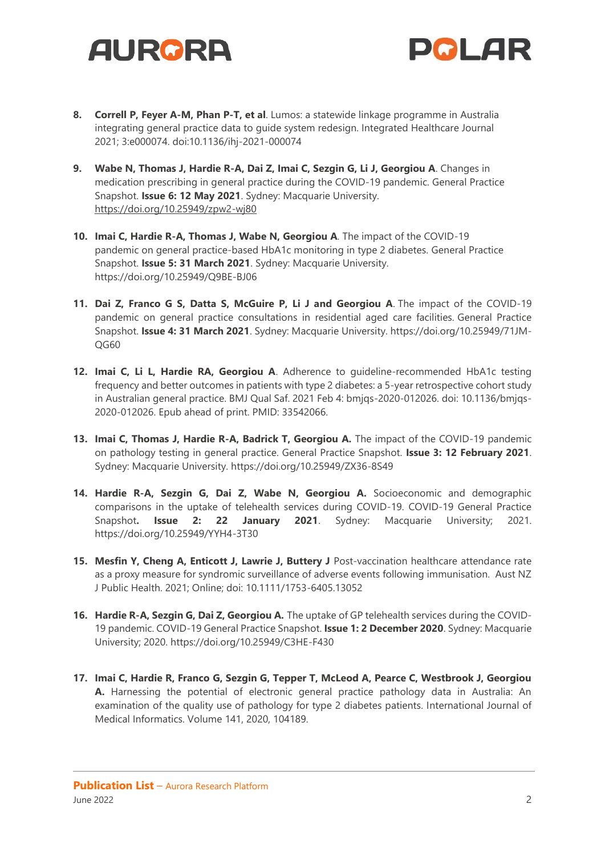



- **8. Correll P, Feyer A-M, Phan P-T, et al**. Lumos: a statewide linkage programme in Australia integrating general practice data to guide system redesign. Integrated Healthcare Journal 2021; 3:e000074. doi:10.1136/ihj-2021-000074
- **9. Wabe N, Thomas J, Hardie R-A, Dai Z, Imai C, Sezgin G, Li J, Georgiou A**. [Changes in](https://www.mq.edu.au/__data/assets/pdf_file/0003/1170732/COVID-19-GP-snapshot-6_Prescribing_Final.pdf)  [medication prescribing in general practice during the COVID-19 pandemic.](https://www.mq.edu.au/__data/assets/pdf_file/0003/1170732/COVID-19-GP-snapshot-6_Prescribing_Final.pdf) General Practice Snapshot. **Issue 6: 12 May 2021**. Sydney: Macquarie University. <https://doi.org/10.25949/zpw2-wj80>
- **10. Imai C, Hardie R-A, Thomas J, Wabe N, Georgiou A**. [The impact of the COVID-19](https://www.mq.edu.au/__data/assets/pdf_file/0003/1166376/COVID-19-GP-snapshot-5_Diabetes_Final.pdf) [pandemic on general practice-based HbA1c monitoring in type 2 diabetes.](https://www.mq.edu.au/__data/assets/pdf_file/0003/1166376/COVID-19-GP-snapshot-5_Diabetes_Final.pdf) General Practice Snapshot. **Issue 5: 31 March 2021**. Sydney: Macquarie University. <https://doi.org/10.25949/Q9BE-BJ06>
- **11. Dai Z, Franco G S, Datta S, McGuire P, Li J and Georgiou A**. [The impact of the COVID-19](https://www.mq.edu.au/__data/assets/pdf_file/0005/1166378/COVID-19-GP-snapshot-4_RACF_31Mar21_final.pdf)  [pandemic on general practice consultations in residential aged care facilities.](https://www.mq.edu.au/__data/assets/pdf_file/0005/1166378/COVID-19-GP-snapshot-4_RACF_31Mar21_final.pdf) General Practice Snapshot. **Issue 4: 31 March 2021**. Sydney: Macquarie University. https://doi.org/10.25949/71JM-QG60
- **12. Imai C, Li L, Hardie RA, Georgiou A**. Adherence to guideline-recommended HbA1c testing frequency and better outcomes in patients with type 2 diabetes: a 5-year retrospective cohort study in Australian general practice. BMJ Qual Saf. 2021 Feb 4: bmjqs-2020-012026. doi: 10.1136/bmjqs-2020-012026. Epub ahead of print. PMID: 33542066.
- 13. Imai C, Thomas J, Hardie R-A, Badrick T, Georgiou A. The impact of the COVID-19 pandemic on pathology testing in general practice. General Practice Snapshot. **Issue 3: 12 February 2021**. Sydney: Macquarie University. https://doi.org/10.25949/ZX36-8S49
- **14. Hardie R-A, Sezgin G, Dai Z, Wabe N, Georgiou A.** Socioeconomic and demographic comparisons in the uptake of telehealth services during COVID-19. COVID-19 General Practice Snapshot**. Issue 2: 22 January 2021**. Sydney: Macquarie University; 2021. https://doi.org/10.25949/YYH4-3T30
- **15. Mesfin Y, Cheng A, Enticott J, Lawrie J, Buttery J** Post-vaccination healthcare attendance rate as a proxy measure for syndromic surveillance of adverse events following immunisation. Aust NZ J Public Health. 2021; Online; doi: 10.1111/1753-6405.13052
- **16. Hardie R-A, Sezgin G, Dai Z, Georgiou A.** [The uptake of GP telehealth services during the COVID-](https://www.mq.edu.au/__data/assets/pdf_file/0005/1158935/COVID-19-GP-snapshot_Telehealth_Final_Updated.pdf)[19 pandemic. COVID-19 General Practice Snapshot.](https://www.mq.edu.au/__data/assets/pdf_file/0005/1158935/COVID-19-GP-snapshot_Telehealth_Final_Updated.pdf) **Issue 1: 2 December 2020**. Sydney: Macquarie University; 2020. https://doi.org/10.25949/C3HE-F430
- **17. Imai C, Hardie R, Franco G, Sezgin G, Tepper T, McLeod A, Pearce C, Westbrook J, Georgiou A.** Harnessing the potential of electronic general practice pathology data in Australia: An examination of the quality use of pathology for type 2 diabetes patients. International Journal of Medical Informatics. Volume 141, 2020, 104189.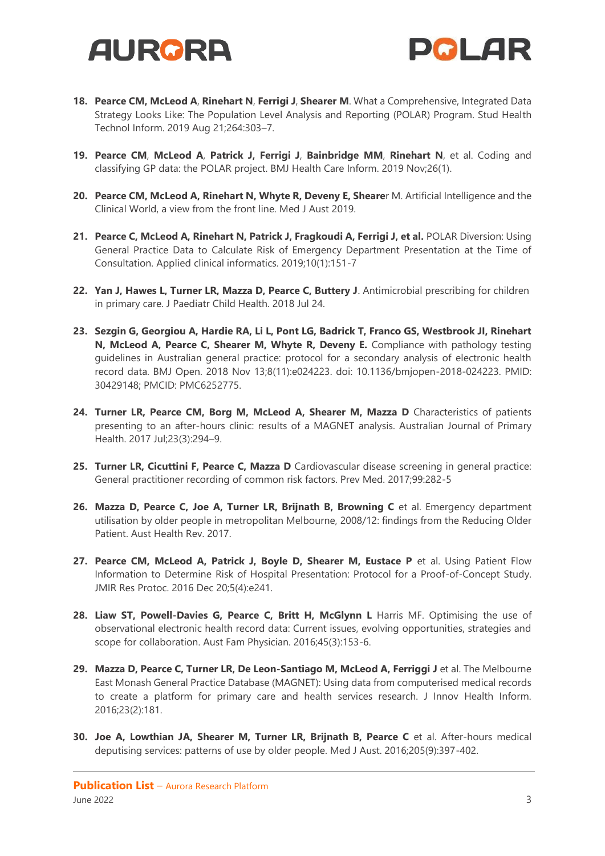



- **18. Pearce CM, McLeod A**, **Rinehart N**, **Ferrigi J**, **Shearer M**. What a Comprehensive, Integrated Data Strategy Looks Like: The Population Level Analysis and Reporting (POLAR) Program. Stud Health Technol Inform. 2019 Aug 21;264:303–7.
- **19. Pearce CM**, **McLeod A**, **Patrick J, Ferrigi J**, **Bainbridge MM**, **Rinehart N**, et al. Coding and classifying GP data: the POLAR project. BMJ Health Care Inform. 2019 Nov;26(1).
- **20. Pearce CM, McLeod A, Rinehart N, Whyte R, Deveny E, Sheare**r M. Artificial Intelligence and the Clinical World, a view from the front line. Med J Aust 2019.
- **21. Pearce C, McLeod A, Rinehart N, Patrick J, Fragkoudi A, Ferrigi J, et al.** POLAR Diversion: Using General Practice Data to Calculate Risk of Emergency Department Presentation at the Time of Consultation. Applied clinical informatics. 2019;10(1):151-7
- **22. Yan J, Hawes L, Turner LR, Mazza D, Pearce C, Buttery J**. Antimicrobial prescribing for children in primary care. J Paediatr Child Health. 2018 Jul 24.
- **23. Sezgin G, Georgiou A, Hardie RA, Li L, Pont LG, Badrick T, Franco GS, Westbrook JI, Rinehart N, McLeod A, Pearce C, Shearer M, Whyte R, Deveny E.** Compliance with pathology testing guidelines in Australian general practice: protocol for a secondary analysis of electronic health record data. BMJ Open. 2018 Nov 13;8(11):e024223. doi: 10.1136/bmjopen-2018-024223. PMID: 30429148; PMCID: PMC6252775.
- **24. Turner LR, Pearce CM, Borg M, McLeod A, Shearer M, Mazza D** Characteristics of patients presenting to an after-hours clinic: results of a MAGNET analysis. Australian Journal of Primary Health. 2017 Jul;23(3):294–9.
- **25. Turner LR, Cicuttini F, Pearce C, Mazza D** Cardiovascular disease screening in general practice: General practitioner recording of common risk factors. Prev Med. 2017;99:282-5
- **26. Mazza D, Pearce C, Joe A, Turner LR, Brijnath B, Browning C** et al. Emergency department utilisation by older people in metropolitan Melbourne, 2008/12: findings from the Reducing Older Patient. Aust Health Rev. 2017.
- **27. Pearce CM, McLeod A, Patrick J, Boyle D, Shearer M, Eustace P** et al. Using Patient Flow Information to Determine Risk of Hospital Presentation: Protocol for a Proof-of-Concept Study. JMIR Res Protoc. 2016 Dec 20;5(4):e241.
- **28. Liaw ST, Powell-Davies G, Pearce C, Britt H, McGlynn L** Harris MF. Optimising the use of observational electronic health record data: Current issues, evolving opportunities, strategies and scope for collaboration. Aust Fam Physician. 2016;45(3):153-6.
- **29. Mazza D, Pearce C, Turner LR, De Leon-Santiago M, McLeod A, Ferriggi J** et al. The Melbourne East Monash General Practice Database (MAGNET): Using data from computerised medical records to create a platform for primary care and health services research. J Innov Health Inform. 2016;23(2):181.
- **30. Joe A, Lowthian JA, Shearer M, Turner LR, Brijnath B, Pearce C** et al. After-hours medical deputising services: patterns of use by older people. Med J Aust. 2016;205(9):397-402.